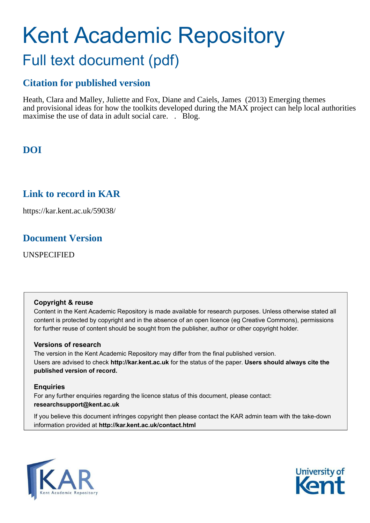# Kent Academic Repository Full text document (pdf)

# **Citation for published version**

Heath, Clara and Malley, Juliette and Fox, Diane and Caiels, James (2013) Emerging themes and provisional ideas for how the toolkits developed during the MAX project can help local authorities maximise the use of data in adult social care. . Blog.

# **DOI**

# **Link to record in KAR**

https://kar.kent.ac.uk/59038/

# **Document Version**

UNSPECIFIED

#### **Copyright & reuse**

Content in the Kent Academic Repository is made available for research purposes. Unless otherwise stated all content is protected by copyright and in the absence of an open licence (eg Creative Commons), permissions for further reuse of content should be sought from the publisher, author or other copyright holder.

#### **Versions of research**

The version in the Kent Academic Repository may differ from the final published version. Users are advised to check **http://kar.kent.ac.uk** for the status of the paper. **Users should always cite the published version of record.**

#### **Enquiries**

For any further enquiries regarding the licence status of this document, please contact: **researchsupport@kent.ac.uk**

If you believe this document infringes copyright then please contact the KAR admin team with the take-down information provided at **http://kar.kent.ac.uk/contact.html**



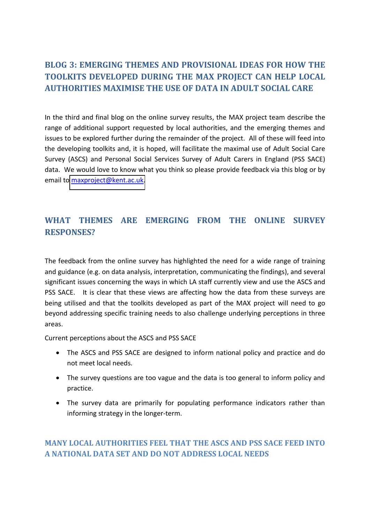# **BLOG 3: EMERGING THEMES AND PROVISIONAL IDEAS FOR HOW THE TOOLKITS DEVELOPED DURING THE MAX PROJECT CAN HELP LOCAL AUTHORITIES MAXIMISE THE USE OF DATA IN ADULT SOCIAL CARE**

In the third and final blog on the online survey results, the MAX project team describe the range of additional support requested by local authorities, and the emerging themes and issues to be explored further during the remainder of the project. All of these will feed into the developing toolkits and, it is hoped, will facilitate the maximal use of Adult Social Care Survey (ASCS) and Personal Social Services Survey of Adult Carers in England (PSS SACE) data. We would love to know what you think so please provide feedback via this blog or by email to [maxproject@kent.ac.uk.](mailto:maxproject@kent.ac.uk)

# **WHAT THEMES ARE EMERGING FROM THE ONLINE SURVEY RESPONSES?**

The feedback from the online survey has highlighted the need for a wide range of training and guidance (e.g. on data analysis, interpretation, communicating the findings), and several significant issues concerning the ways in which LA staff currently view and use the ASCS and PSS SACE. It is clear that these views are affecting how the data from these surveys are being utilised and that the toolkits developed as part of the MAX project will need to go beyond addressing specific training needs to also challenge underlying perceptions in three areas.

Current perceptions about the ASCS and PSS SACE

- The ASCS and PSS SACE are designed to inform national policy and practice and do not meet local needs.
- The survey questions are too vague and the data is too general to inform policy and practice.
- The survey data are primarily for populating performance indicators rather than informing strategy in the longer-term.

## **MANY LOCAL AUTHORITIES FEEL THAT THE ASCS AND PSS SACE FEED INTO A NATIONAL DATA SET AND DO NOT ADDRESS LOCAL NEEDS**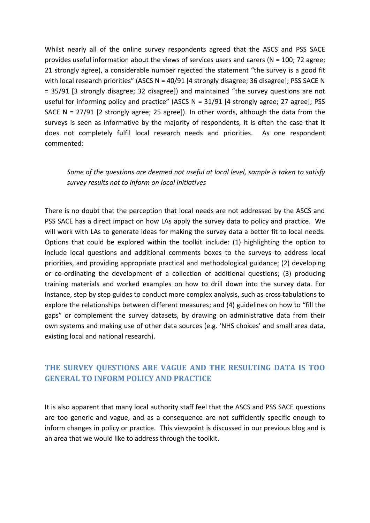Whilst nearly all of the online survey respondents agreed that the ASCS and PSS SACE provides useful information about the views of services users and carers (N = 100; 72 agree; 21 strongly agree), a considerable number rejected the statement "the survey is a good fit with local research priorities" (ASCS  $N = 40/91$  [4 strongly disagree; 36 disagree]; PSS SACE N = 35/91 [3 strongly disagree; 32 disagree]) and maintained "the survey questions are not useful for informing policy and practice" (ASCS  $N = 31/91$  [4 strongly agree; 27 agree]; PSS SACE N = 27/91 [2 strongly agree; 25 agree]). In other words, although the data from the surveys is seen as informative by the majority of respondents, it is often the case that it does not completely fulfil local research needs and priorities. As one respondent commented:

### *Some of the questions are deemed not useful at local level, sample is taken to satisfy survey results not to inform on local initiatives*

There is no doubt that the perception that local needs are not addressed by the ASCS and PSS SACE has a direct impact on how LAs apply the survey data to policy and practice. We will work with LAs to generate ideas for making the survey data a better fit to local needs. Options that could be explored within the toolkit include: (1) highlighting the option to include local questions and additional comments boxes to the surveys to address local priorities, and providing appropriate practical and methodological guidance; (2) developing or co-ordinating the development of a collection of additional questions; (3) producing training materials and worked examples on how to drill down into the survey data. For instance, step by step guides to conduct more complex analysis, such as cross tabulations to explore the relationships between different measures; and (4) guidelines on how to "fill the gaps" or complement the survey datasets, by drawing on administrative data from their own systems and making use of other data sources (e.g. 'NHS choices' and small area data, existing local and national research).

## **THE SURVEY QUESTIONS ARE VAGUE AND THE RESULTING DATA IS TOO GENERAL TO INFORM POLICY AND PRACTICE**

It is also apparent that many local authority staff feel that the ASCS and PSS SACE questions are too generic and vague, and as a consequence are not sufficiently specific enough to inform changes in policy or practice. This viewpoint is discussed in our previous blog and is an area that we would like to address through the toolkit.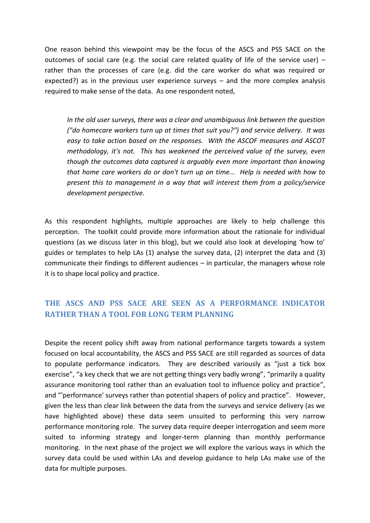One reason behind this viewpoint may be the focus of the ASCS and PSS SACE on the outcomes of social care (e.g. the social care related quality of life of the service user)  $$ rather than the processes of care (e.g. did the care worker do what was required or expected?) as in the previous user experience surveys  $-$  and the more complex analysis required to make sense of the data. As one respondent noted,

*In the old user surveys, there was a clear and unambiguous link between the question ("do homecare workers turn up at times that suit you?") and service delivery. It was easy to take action based on the responses. With the ASCOF measures and ASCOT methodology, it's not. This has weakened the perceived value of the survey, even though the outcomes data captured is arguably even more important than knowing that home care workers do or don't turn up on time... Help is needed with how to present this to management in a way that will interest them from a policy/service development perspective.* 

As this respondent highlights, multiple approaches are likely to help challenge this perception. The toolkit could provide more information about the rationale for individual questions (as we discuss later in this blog), but we could also look at developing 'how to' guides or templates to help LAs (1) analyse the survey data, (2) interpret the data and (3) communicate their findings to different audiences  $-$  in particular, the managers whose role it is to shape local policy and practice.

## **THE ASCS AND PSS SACE ARE SEEN AS A PERFORMANCE INDICATOR RATHER THAN A TOOL FOR LONG TERM PLANNING**

Despite the recent policy shift away from national performance targets towards a system focused on local accountability, the ASCS and PSS SACE are still regarded as sources of data to populate performance indicators. They are described variously as "just a tick box exercise", "a key check that we are not getting things very badly wrong", "primarily a quality assurance monitoring tool rather than an evaluation tool to influence policy and practice". and "'performance' surveys rather than potential shapers of policy and practice". However, given the less than clear link between the data from the surveys and service delivery (as we have highlighted above) these data seem unsuited to performing this very narrow performance monitoring role. The survey data require deeper interrogation and seem more suited to informing strategy and longer-term planning than monthly performance monitoring. In the next phase of the project we will explore the various ways in which the survey data could be used within LAs and develop guidance to help LAs make use of the data for multiple purposes.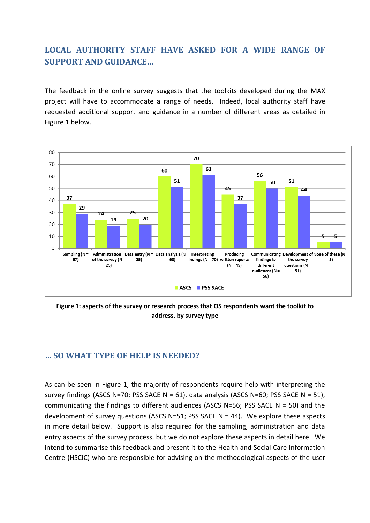## **LOCAL AUTHORITY STAFF HAVE ASKED FOR A WIDE RANGE OF SUPPORT AND GUIDANCE...**

The feedback in the online survey suggests that the toolkits developed during the MAX project will have to accommodate a range of needs. Indeed, local authority staff have requested additional support and guidance in a number of different areas as detailed in Figure 1 below.



**Figure 1: aspects of the survey or research process that OS respondents want the toolkit to address, by survey type**

#### **┼ SO WHAT TYPE OF HELP IS NEEDED?**

As can be seen in Figure 1, the majority of respondents require help with interpreting the survey findings (ASCS N=70; PSS SACE N = 61), data analysis (ASCS N=60; PSS SACE N = 51), communicating the findings to different audiences (ASCS N=56; PSS SACE N = 50) and the development of survey questions (ASCS N=51; PSS SACE N = 44). We explore these aspects in more detail below. Support is also required for the sampling, administration and data entry aspects of the survey process, but we do not explore these aspects in detail here. We intend to summarise this feedback and present it to the Health and Social Care Information Centre (HSCIC) who are responsible for advising on the methodological aspects of the user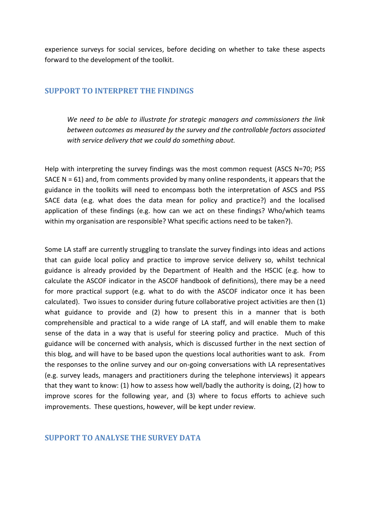experience surveys for social services, before deciding on whether to take these aspects forward to the development of the toolkit.

#### **SUPPORT TO INTERPRET THE FINDINGS**

*We need to be able to illustrate for strategic managers and commissioners the link between outcomes as measured by the survey and the controllable factors associated with service delivery that we could do something about.* 

Help with interpreting the survey findings was the most common request (ASCS N=70; PSS SACE  $N = 61$ ) and, from comments provided by many online respondents, it appears that the guidance in the toolkits will need to encompass both the interpretation of ASCS and PSS SACE data (e.g. what does the data mean for policy and practice?) and the localised application of these findings (e.g. how can we act on these findings? Who/which teams within my organisation are responsible? What specific actions need to be taken?).

Some LA staff are currently struggling to translate the survey findings into ideas and actions that can guide local policy and practice to improve service delivery so, whilst technical guidance is already provided by the Department of Health and the HSCIC (e.g. how to calculate the ASCOF indicator in the ASCOF handbook of definitions), there may be a need for more practical support (e.g. what to do with the ASCOF indicator once it has been calculated). Two issues to consider during future collaborative project activities are then (1) what guidance to provide and (2) how to present this in a manner that is both comprehensible and practical to a wide range of LA staff, and will enable them to make sense of the data in a way that is useful for steering policy and practice. Much of this guidance will be concerned with analysis, which is discussed further in the next section of this blog, and will have to be based upon the questions local authorities want to ask. From the responses to the online survey and our on-going conversations with LA representatives (e.g. survey leads, managers and practitioners during the telephone interviews) it appears that they want to know: (1) how to assess how well/badly the authority is doing, (2) how to improve scores for the following year, and (3) where to focus efforts to achieve such improvements. These questions, however, will be kept under review.

#### **SUPPORT TO ANALYSE THE SURVEY DATA**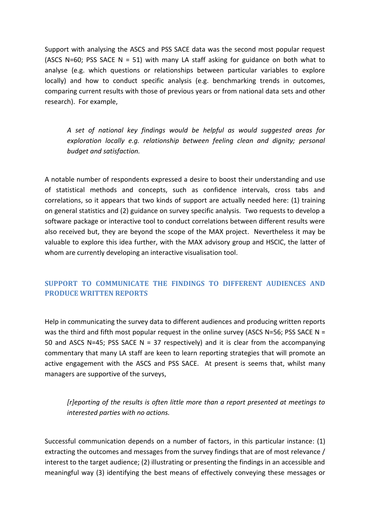Support with analysing the ASCS and PSS SACE data was the second most popular request (ASCS N=60; PSS SACE N = 51) with many LA staff asking for guidance on both what to analyse (e.g. which questions or relationships between particular variables to explore locally) and how to conduct specific analysis (e.g. benchmarking trends in outcomes, comparing current results with those of previous years or from national data sets and other research). For example,

*A set of national key findings would be helpful as would suggested areas for exploration locally e.g. relationship between feeling clean and dignity; personal budget and satisfaction.* 

A notable number of respondents expressed a desire to boost their understanding and use of statistical methods and concepts, such as confidence intervals, cross tabs and correlations, so it appears that two kinds of support are actually needed here: (1) training on general statistics and (2) guidance on survey specific analysis. Two requests to develop a software package or interactive tool to conduct correlations between different results were also received but, they are beyond the scope of the MAX project. Nevertheless it may be valuable to explore this idea further, with the MAX advisory group and HSCIC, the latter of whom are currently developing an interactive visualisation tool.

## **SUPPORT TO COMMUNICATE THE FINDINGS TO DIFFERENT AUDIENCES AND PRODUCE WRITTEN REPORTS**

Help in communicating the survey data to different audiences and producing written reports was the third and fifth most popular request in the online survey (ASCS N=56; PSS SACE N = 50 and ASCS N=45; PSS SACE N = 37 respectively) and it is clear from the accompanying commentary that many LA staff are keen to learn reporting strategies that will promote an active engagement with the ASCS and PSS SACE. At present is seems that, whilst many managers are supportive of the surveys,

*[r]eporting of the results is often little more than a report presented at meetings to interested parties with no actions.* 

Successful communication depends on a number of factors, in this particular instance: (1) extracting the outcomes and messages from the survey findings that are of most relevance / interest to the target audience; (2) illustrating or presenting the findings in an accessible and meaningful way (3) identifying the best means of effectively conveying these messages or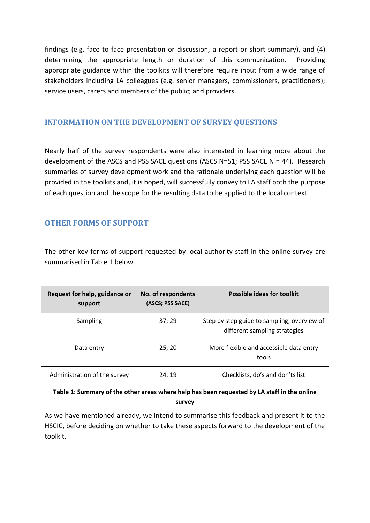findings (e.g. face to face presentation or discussion, a report or short summary), and (4) determining the appropriate length or duration of this communication. Providing appropriate guidance within the toolkits will therefore require input from a wide range of stakeholders including LA colleagues (e.g. senior managers, commissioners, practitioners); service users, carers and members of the public; and providers.

#### **INFORMATION ON THE DEVELOPMENT OF SURVEY QUESTIONS**

Nearly half of the survey respondents were also interested in learning more about the development of the ASCS and PSS SACE questions (ASCS N=51; PSS SACE N = 44). Research summaries of survey development work and the rationale underlying each question will be provided in the toolkits and, it is hoped, will successfully convey to LA staff both the purpose of each question and the scope for the resulting data to be applied to the local context.

## **OTHER FORMS OF SUPPORT**

The other key forms of support requested by local authority staff in the online survey are summarised in Table 1 below.

| Request for help, guidance or<br>support | No. of respondents<br>(ASCS; PSS SACE) | <b>Possible ideas for toolkit</b>                                            |
|------------------------------------------|----------------------------------------|------------------------------------------------------------------------------|
| Sampling                                 | 37; 29                                 | Step by step guide to sampling; overview of<br>different sampling strategies |
| Data entry                               | 25; 20                                 | More flexible and accessible data entry<br>tools                             |
| Administration of the survey             | 24; 19                                 | Checklists, do's and don'ts list                                             |

**Table 1: Summary of the other areas where help has been requested by LA staff in the online survey** 

As we have mentioned already, we intend to summarise this feedback and present it to the HSCIC, before deciding on whether to take these aspects forward to the development of the toolkit.